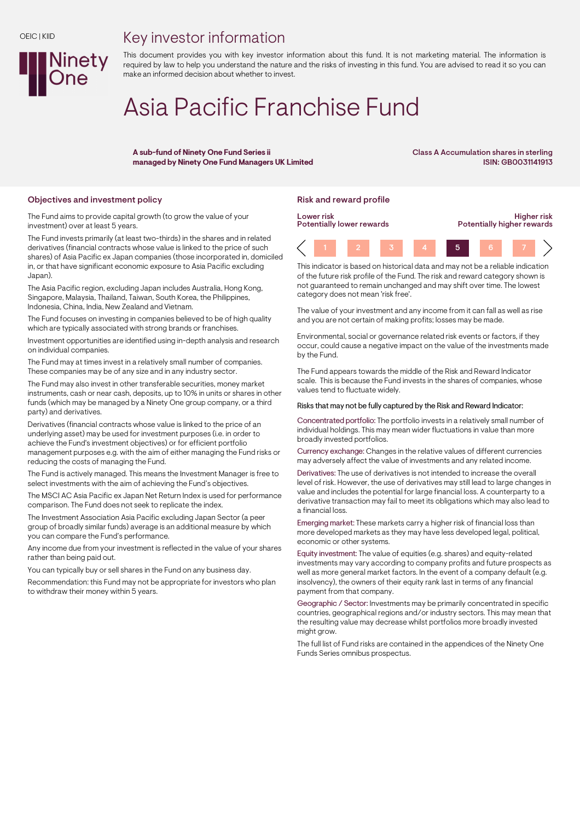## Key investor information



# Asia Pacific Franchise Fund

A sub-fund of Ninety One Fund Series ii managed by Ninety One Fund Managers UK Limited Class A Accumulation shares in sterling ISIN: GB0031141913

### Objectives and investment policy **Risk and reward profile** Risk and reward profile

Ninety

The Fund aims to provide capital growth (to grow the value of your investment) over at least 5 years.

The Fund invests primarily (at least two-thirds) in the shares and in related derivatives (financial contracts whose value is linked to the price of such shares) of Asia Pacific ex Japan companies (those incorporated in, domiciled in, or that have significant economic exposure to Asia Pacific excluding Japan).

The Asia Pacific region, excluding Japan includes Australia, Hong Kong, Singapore, Malaysia, Thailand, Taiwan, South Korea, the Philippines, Indonesia, China, India, New Zealand and Vietnam.

The Fund focuses on investing in companies believed to be of high quality which are typically associated with strong brands or franchises.

Investment opportunities are identified using in-depth analysis and research on individual companies.

The Fund may at times invest in a relatively small number of companies. These companies may be of any size and in any industry sector.

The Fund may also invest in other transferable securities, money market instruments, cash or near cash, deposits, up to 10% in units or shares in other funds (which may be managed by a Ninety One group company, or a third party) and derivatives.

Derivatives (financial contracts whose value is linked to the price of an underlying asset) may be used for investment purposes (i.e. in order to achieve the Fund's investment objectives) or for efficient portfolio management purposes e.g. with the aim of either managing the Fund risks or reducing the costs of managing the Fund.

The Fund is actively managed. This means the Investment Manager is free to select investments with the aim of achieving the Fund's objectives.

The MSCI AC Asia Pacific ex Japan Net Return Index is used for performance comparison. The Fund does not seek to replicate the index.

The Investment Association Asia Pacific excluding Japan Sector (a peer group of broadly similar funds) average is an additional measure by which you can compare the Fund's performance.

Any income due from your investment is reflected in the value of your shares rather than being paid out.

You can typically buy or sell shares in the Fund on any business day.

Recommendation: this Fund may not be appropriate for investors who plan to withdraw their money within 5 years.



This indicator is based on historical data and may not be a reliable indication of the future risk profile of the Fund. The risk and reward category shown is not guaranteed to remain unchanged and may shift over time. The lowest category does not mean 'risk free'.

The value of your investment and any income from it can fall as well as rise and you are not certain of making profits; losses may be made.

Environmental, social or governance related risk events or factors, if they occur, could cause a negative impact on the value of the investments made by the Fund.

The Fund appears towards the middle of the Risk and Reward Indicator scale. This is because the Fund invests in the shares of companies, whose values tend to fluctuate widely.

#### Risks that may not be fully captured by the Risk and Reward Indicator:

Concentrated portfolio: The portfolio invests in a relatively small number of individual holdings. This may mean wider fluctuations in value than more broadly invested portfolios.

Currency exchange: Changes in the relative values of different currencies may adversely affect the value of investments and any related income.

Derivatives: The use of derivatives is not intended to increase the overall level of risk. However, the use of derivatives may still lead to large changes in value and includes the potential for large financial loss. A counterparty to a derivative transaction may fail to meet its obligations which may also lead to a financial loss.

Emerging market: These markets carry a higher risk of financial loss than more developed markets as they may have less developed legal, political, economic or other systems.

Equity investment: The value of equities (e.g. shares) and equity-related investments may vary according to company profits and future prospects as well as more general market factors. In the event of a company default (e.g. insolvency), the owners of their equity rank last in terms of any financial payment from that company.

Geographic / Sector: Investments may be primarily concentrated in specific countries, geographical regions and/or industry sectors. This may mean that the resulting value may decrease whilst portfolios more broadly invested might grow.

The full list of Fund risks are contained in the appendices of the Ninety One Funds Series omnibus prospectus.